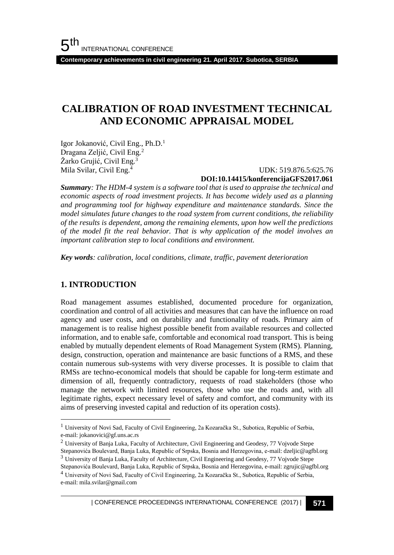**Contemporary achievements in civil engineering 21. April 2017. Subotica, SERBIA**

## **CALIBRATION OF ROAD INVESTMENT TECHNICAL AND ECONOMIC APPRAISAL MODEL**

Igor Jokanović, Civil Eng., Ph.D.<sup>1</sup> Dragana Zeljić, Civil Eng.<sup>2</sup> Žarko Grujić, Civil Eng.<sup>3</sup> Mila Svilar, Civil Eng.<sup>4</sup>

 UDK: 519.876.5:625.76 **DOI:10.14415/konferencijaGFS2017.061**

*Summary: The HDM-4 system is a software tool that is used to appraise the technical and economic aspects of road investment projects. It has become widely used as a planning and programming tool for highway expenditure and maintenance standards. Since the model simulates future changes to the road system from current conditions, the reliability of the results is dependent, among the remaining elements, upon how well the predictions of the model fit the real behavior. That is why application of the model involves an important calibration step to local conditions and environment.*

*Key words: calibration, local conditions, climate, traffic, pavement deterioration*

### **1. INTRODUCTION**

l

Road management assumes established, documented procedure for organization, coordination and control of all activities and measures that can have the influence on road agency and user costs, and on durability and functionality of roads. Primary aim of management is to realise highest possible benefit from available resources and collected information, and to enable safe, comfortable and economical road transport. This is being enabled by mutually dependent elements of Road Management System (RMS). Planning, design, construction, operation and maintenance are basic functions of a RMS, and these contain numerous sub-systems with very diverse processes. It is possible to claim that RMSs are techno-economical models that should be capable for long-term estimate and dimension of all, frequently contradictory, requests of road stakeholders (those who manage the network with limited resources, those who use the roads and, with all legitimate rights, expect necessary level of safety and comfort, and community with its aims of preserving invested capital and reduction of its operation costs).

<sup>1</sup> University of Novi Sad, Faculty of Civil Engineering, 2a Kozaračka St., Subotica, Republic of Serbia, e-mail: jokanovici@gf.uns.ac.rs

<sup>&</sup>lt;sup>2</sup> University of Banja Luka, Faculty of Architecture, Civil Engineering and Geodesy, 77 Vojvode Stepe Stepanovića Boulevard, Banja Luka, Republic of Srpska, Bosnia and Herzegovina, e-mail: dzeljic@agfbl.org

<sup>3</sup> University of Banja Luka, Faculty of Architecture, Civil Engineering and Geodesy, 77 Vojvode Stepe

Stepanovića Boulevard, Banja Luka, Republic of Srpska, Bosnia and Herzegovina, e-mail: zgrujic@agfbl.org

<sup>4</sup> University of Novi Sad, Faculty of Civil Engineering, 2a Kozaračka St., Subotica, Republic of Serbia, e-mail: mila.svilar@gmail.com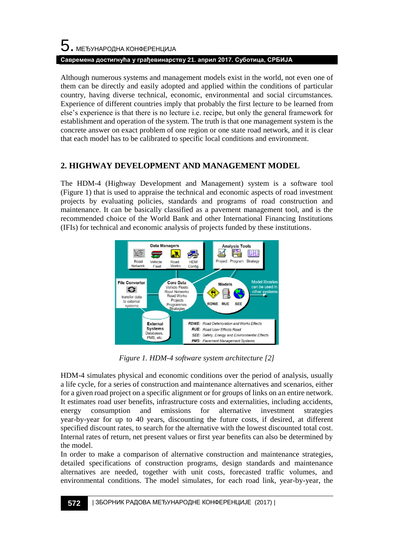# $5$ . међународна конференција **Савремена достигнућа у грађевинарству 21. април 2017. Суботица, СРБИЈА**

Although numerous systems and management models exist in the world, not even one of them can be directly and easily adopted and applied within the conditions of particular country, having diverse technical, economic, environmental and social circumstances. Experience of different countries imply that probably the first lecture to be learned from else's experience is that there is no lecture i.e. recipe, but only the general framework for establishment and operation of the system. The truth is that one management system is the concrete answer on exact problem of one region or one state road network, and it is clear that each model has to be calibrated to specific local conditions and environment.

### **2. HIGHWAY DEVELOPMENT AND MANAGEMENT MODEL**

The HDM-4 (Highway Development and Management) system is a software tool (Figure 1) that is used to appraise the technical and economic aspects of road investment projects by evaluating policies, standards and programs of road construction and maintenance. It can be basically classified as a pavement management tool, and is the recommended choice of the World Bank and other International Financing Institutions (IFIs) for technical and economic analysis of projects funded by these institutions.



*Figure 1. HDM-4 software system architecture [2]*

HDM-4 simulates physical and economic conditions over the period of analysis, usually a life cycle, for a series of construction and maintenance alternatives and scenarios, either for a given road project on a specific alignment or for groups of links on an entire network. It estimates road user benefits, infrastructure costs and externalities, including accidents, energy consumption and emissions for alternative investment strategies year-by-year for up to 40 years, discounting the future costs, if desired, at different specified discount rates, to search for the alternative with the lowest discounted total cost. Internal rates of return, net present values or first year benefits can also be determined by the model.

In order to make a comparison of alternative construction and maintenance strategies, detailed specifications of construction programs, design standards and maintenance alternatives are needed, together with unit costs, forecasted traffic volumes, and environmental conditions. The model simulates, for each road link, year-by-year, the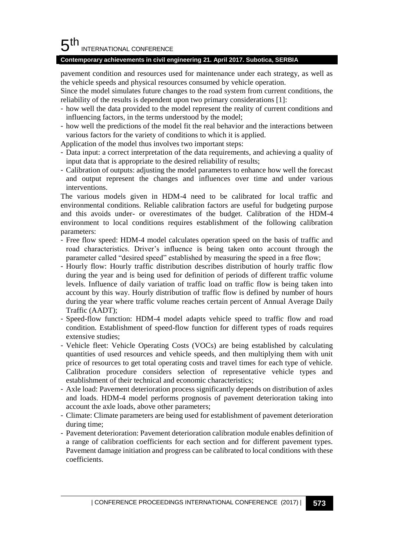#### 5 th INTERNATIONAL CONFERENCE

#### **Contemporary achievements in civil engineering 21. April 2017. Subotica, SERBIA**

pavement condition and resources used for maintenance under each strategy, as well as the vehicle speeds and physical resources consumed by vehicle operation.

Since the model simulates future changes to the road system from current conditions, the reliability of the results is dependent upon two primary considerations [1]:

- how well the data provided to the model represent the reality of current conditions and influencing factors, in the terms understood by the model;
- how well the predictions of the model fit the real behavior and the interactions between various factors for the variety of conditions to which it is applied.

Application of the model thus involves two important steps:

- Data input: a correct interpretation of the data requirements, and achieving a quality of input data that is appropriate to the desired reliability of results;
- Calibration of outputs: adjusting the model parameters to enhance how well the forecast and output represent the changes and influences over time and under various interventions.

The various models given in HDM-4 need to be calibrated for local traffic and environmental conditions. Reliable calibration factors are useful for budgeting purpose and this avoids under- or overestimates of the budget. Calibration of the HDM-4 environment to local conditions requires establishment of the following calibration parameters:

- Free flow speed: HDM-4 model calculates operation speed on the basis of traffic and road characteristics. Driver's influence is being taken onto account through the parameter called "desired speed" established by measuring the speed in a free flow;
- Hourly flow: Hourly traffic distribution describes distribution of hourly traffic flow during the year and is being used for definition of periods of different traffic volume levels. Influence of daily variation of traffic load on traffic flow is being taken into account by this way. Hourly distribution of traffic flow is defined by number of hours during the year where traffic volume reaches certain percent of Annual Average Daily Traffic (AADT);
- Speed-flow function: HDM-4 model adapts vehicle speed to traffic flow and road condition. Establishment of speed-flow function for different types of roads requires extensive studies;
- Vehicle fleet: Vehicle Operating Costs (VOCs) are being established by calculating quantities of used resources and vehicle speeds, and then multiplying them with unit price of resources to get total operating costs and travel times for each type of vehicle. Calibration procedure considers selection of representative vehicle types and establishment of their technical and economic characteristics;
- Axle load: Pavement deterioration process significantly depends on distribution of axles and loads. HDM-4 model performs prognosis of pavement deterioration taking into account the axle loads, above other parameters;
- Climate: Climate parameters are being used for establishment of pavement deterioration during time;
- Pavement deterioration: Pavement deterioration calibration module enables definition of a range of calibration coefficients for each section and for different pavement types. Pavement damage initiation and progress can be calibrated to local conditions with these coefficients.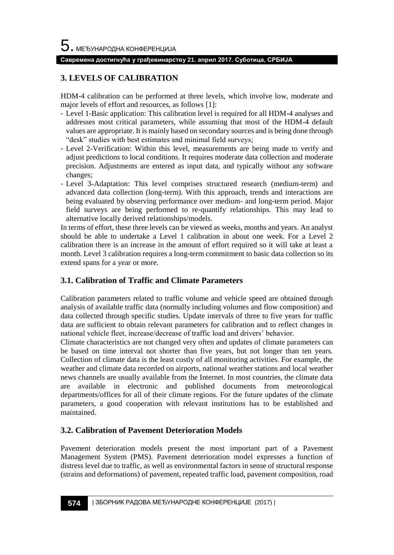#### **Савремена достигнућа у грађевинарству 21. април 2017. Суботица, СРБИЈА**

### **3. LEVELS OF CALIBRATION**

HDM-4 calibration can be performed at three levels, which involve low, moderate and major levels of effort and resources, as follows [1]:

- Level 1-Basic application: This calibration level is required for all HDM-4 analyses and addresses most critical parameters, while assuming that most of the HDM-4 default values are appropriate. It is mainly based on secondary sources and is being done through "desk" studies with best estimates and minimal field surveys;
- Level 2-Verification: Within this level, measurements are being made to verify and adjust predictions to local conditions. It requires moderate data collection and moderate precision. Adjustments are entered as input data, and typically without any software changes;
- Level 3-Adaptation: This level comprises structured research (medium-term) and advanced data collection (long-term). With this approach, trends and interactions are being evaluated by observing performance over medium- and long-term period. Major field surveys are being performed to re-quantify relationships. This may lead to alternative locally derived relationships/models.

In terms of effort, these three levels can be viewed as weeks, months and years. An analyst should be able to undertake a Level 1 calibration in about one week. For a Level 2 calibration there is an increase in the amount of effort required so it will take at least a month. Level 3 calibration requires a long-term commitment to basic data collection so its extend spans for a year or more.

### **3.1. Calibration of Traffic and Climate Parameters**

Calibration parameters related to traffic volume and vehicle speed are obtained through analysis of available traffic data (normally including volumes and flow composition) and data collected through specific studies. Update intervals of three to five years for traffic data are sufficient to obtain relevant parameters for calibration and to reflect changes in national vehicle fleet, increase/decrease of traffic load and drivers' behavior.

Climate characteristics are not changed very often and updates of climate parameters can be based on time interval not shorter than five years, but not longer than ten years. Collection of climate data is the least costly of all monitoring activities. For example, the weather and climate data recorded on airports, national weather stations and local weather news channels are usually available from the Internet. In most countries, the climate data are available in electronic and published documents from meteorological departments/offices for all of their climate regions. For the future updates of the climate parameters, a good cooperation with relevant institutions has to be established and maintained.

### **3.2. Calibration of Pavement Deterioration Models**

Pavement deterioration models present the most important part of a Pavement Management System (PMS). Pavement deterioration model expresses a function of distress level due to traffic, as well as environmental factors in sense of structural response (strains and deformations) of pavement, repeated traffic load, pavement composition, road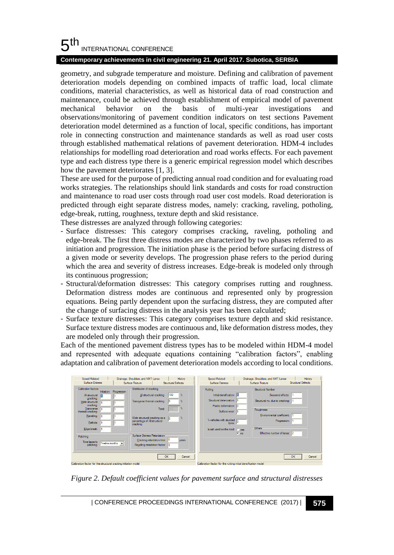#### 5 th INTERNATIONAL CONFERENCE

#### **Contemporary achievements in civil engineering 21. April 2017. Subotica, SERBIA**

geometry, and subgrade temperature and moisture. Defining and calibration of pavement deterioration models depending on combined impacts of traffic load, local climate conditions, material characteristics, as well as historical data of road construction and maintenance, could be achieved through establishment of empirical model of pavement mechanical behavior on the basis of multi-year investigations and observations/monitoring of pavement condition indicators on test sections Pavement deterioration model determined as a function of local, specific conditions, has important role in connecting construction and maintenance standards as well as road user costs through established mathematical relations of pavement deterioration. HDM-4 includes relationships for modelling road deterioration and road works effects. For each pavement type and each distress type there is a generic empirical regression model which describes how the pavement deteriorates [1, 3].

These are used for the purpose of predicting annual road condition and for evaluating road works strategies. The relationships should link standards and costs for road construction and maintenance to road user costs through road user cost models. Road deterioration is predicted through eight separate distress modes, namely: cracking, raveling, potholing, edge-break, rutting, roughness, texture depth and skid resistance.

These distresses are analyzed through following categories:

- Surface distresses: This category comprises cracking, raveling, potholing and edge-break. The first three distress modes are characterized by two phases referred to as initiation and progression. The initiation phase is the period before surfacing distress of a given mode or severity develops. The progression phase refers to the period during which the area and severity of distress increases. Edge-break is modeled only through its continuous progression;
- Structural/deformation distresses: This category comprises rutting and roughness. Deformation distress modes are continuous and represented only by progression equations. Being partly dependent upon the surfacing distress, they are computed after the change of surfacing distress in the analysis year has been calculated;
- Surface texture distresses: This category comprises texture depth and skid resistance. Surface texture distress modes are continuous and, like deformation distress modes, they are modeled only through their progression.

Each of the mentioned pavement distress types has to be modeled within HDM-4 model and represented with adequate equations containing "calibration factors", enabling adaptation and calibration of pavement deterioration models according to local conditions.

| Speed Related                                                                                                                                                                                                                                | Drainage, Shoulders, and NMT Lanes                                                                                                                                                                                                                                                        | History                                                                               | Speed Related                                                                                                                                                                           | Drainage, Shoulders, and NMT Lanes                                                                                                                          | History                           |
|----------------------------------------------------------------------------------------------------------------------------------------------------------------------------------------------------------------------------------------------|-------------------------------------------------------------------------------------------------------------------------------------------------------------------------------------------------------------------------------------------------------------------------------------------|---------------------------------------------------------------------------------------|-----------------------------------------------------------------------------------------------------------------------------------------------------------------------------------------|-------------------------------------------------------------------------------------------------------------------------------------------------------------|-----------------------------------|
| <b>Surface Distress</b>                                                                                                                                                                                                                      | Surface Texture                                                                                                                                                                                                                                                                           | <b>Structural Defects</b>                                                             | <b>Surface Distress</b>                                                                                                                                                                 | Surface Texture                                                                                                                                             | Structural Defects                |
| Calbration factors<br>Initiation<br>All structural<br>m<br>cracking:<br>Wide structural<br>cracking:<br>Transverse<br>thermal cracking:<br>Raveling:<br>Pothole:<br>Edge break:<br>Patching<br>Time lapse to<br>Twelve months v<br>patching: | Distribution of cracking<br>Progression<br>All structural cracking:<br>Transyerse themal cracking:<br>Total:<br>Wide structural cracking as a<br>percentage of All structural<br>cracking:<br>Surface Distress Retardation<br>Cracking retardation time:<br>Ravelling retardation factor: | 100<br>$\gamma_{\rm c}$<br>$\frac{9}{4}$<br>$\mathcal{U}$<br>$\frac{2}{\pi}$<br>vears | Rutting<br>Initial densification: ILI<br>Structural deterioration:<br>Plastic deformation: 10<br>Surface wear:<br>% vehicles with studded 0<br>tyres:<br>Is sat used on the road: @ yes | Structural Number<br>Structural no, due to cracking:<br>Roughness<br>Environmental coefficient: 1<br>Others<br>Effective number of lanes: 2<br>$\bullet$ no | Seasonal effects:<br>Progression: |
| Calibration factor for the structural cracking initiation model                                                                                                                                                                              |                                                                                                                                                                                                                                                                                           | OK<br>Cancel                                                                          | Calibration factor for the rutting initial densification model                                                                                                                          |                                                                                                                                                             | OK<br>Cancel                      |

*Figure 2. Default coefficient values for pavement surface and structural distresses*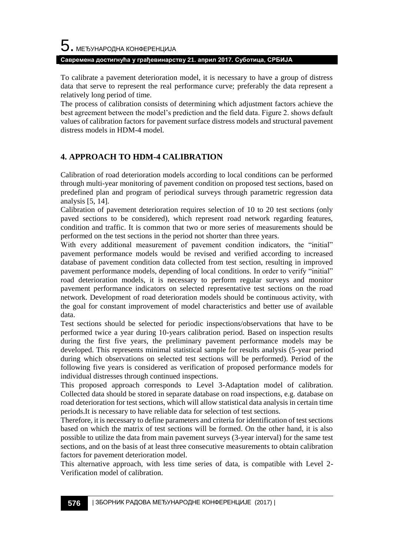To calibrate a pavement deterioration model, it is necessary to have a group of distress data that serve to represent the real performance curve; preferably the data represent a relatively long period of time.

The process of calibration consists of determining which adjustment factors achieve the best agreement between the model's prediction and the field data. Figure 2. shows default values of calibration factors for pavement surface distress models and structural pavement distress models in HDM-4 model.

### **4. APPROACH TO HDM-4 CALIBRATION**

Calibration of road deterioration models according to local conditions can be performed through multi-year monitoring of pavement condition on proposed test sections, based on predefined plan and program of periodical surveys through parametric regression data analysis [5, 14].

Calibration of pavement deterioration requires selection of 10 to 20 test sections (only paved sections to be considered), which represent road network regarding features, condition and traffic. It is common that two or more series of measurements should be performed on the test sections in the period not shorter than three years.

With every additional measurement of pavement condition indicators, the "initial" pavement performance models would be revised and verified according to increased database of pavement condition data collected from test section, resulting in improved pavement performance models, depending of local conditions. In order to verify "initial" road deterioration models, it is necessary to perform regular surveys and monitor pavement performance indicators on selected representative test sections on the road network. Development of road deterioration models should be continuous activity, with the goal for constant improvement of model characteristics and better use of available data.

Test sections should be selected for periodic inspections/observations that have to be performed twice a year during 10-years calibration period. Based on inspection results during the first five years, the preliminary pavement performance models may be developed. This represents minimal statistical sample for results analysis (5-year period during which observations on selected test sections will be performed). Period of the following five years is considered as verification of proposed performance models for individual distresses through continued inspections.

This proposed approach corresponds to Level 3-Adaptation model of calibration. Collected data should be stored in separate database on road inspections, e.g. database on road deterioration for test sections, which will allow statistical data analysis in certain time periods.It is necessary to have reliable data for selection of test sections.

Therefore, it is necessary to define parameters and criteria for identification of test sections based on which the matrix of test sections will be formed. On the other hand, it is also possible to utilize the data from main pavement surveys (3-year interval) for the same test sections, and on the basis of at least three consecutive measurements to obtain calibration factors for pavement deterioration model.

This alternative approach, with less time series of data, is compatible with Level 2- Verification model of calibration.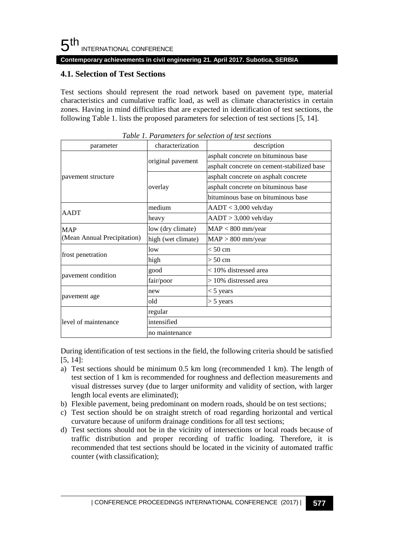**Contemporary achievements in civil engineering 21. April 2017. Subotica, SERBIA**

### **4.1. Selection of Test Sections**

Test sections should represent the road network based on pavement type, material characteristics and cumulative traffic load, as well as climate characteristics in certain zones. Having in mind difficulties that are expected in identification of test sections, the following Table 1. lists the proposed parameters for selection of test sections [5, 14].

| parameter                   | characterization   | description                                |  |  |
|-----------------------------|--------------------|--------------------------------------------|--|--|
|                             |                    | asphalt concrete on bituminous base        |  |  |
|                             | original pavement  | asphalt concrete on cement-stabilized base |  |  |
| pavement structure          | overlay            | asphalt concrete on asphalt concrete       |  |  |
|                             |                    | asphalt concrete on bituminous base        |  |  |
|                             |                    | bituminous base on bituminous base         |  |  |
| AADT                        | medium             | $AADT < 3,000$ veh/day                     |  |  |
|                             | heavy              | $AADT > 3,000$ veh/day                     |  |  |
| <b>MAP</b>                  | low (dry climate)  | $MAP < 800$ mm/year                        |  |  |
| (Mean Annual Precipitation) | high (wet climate) | $MAP > 800$ mm/year                        |  |  |
|                             | low                | $< 50$ cm                                  |  |  |
| frost penetration           | high               | $> 50$ cm                                  |  |  |
| pavement condition          | good               | < 10% distressed area                      |  |  |
|                             | fair/poor          | > 10% distressed area                      |  |  |
|                             | new                | $<$ 5 years                                |  |  |
| pavement age                | old                | $>$ 5 years                                |  |  |
|                             | regular            |                                            |  |  |
| level of maintenance        | intensified        |                                            |  |  |
|                             | no maintenance     |                                            |  |  |

*Table 1. Parameters for selection of test sections*

During identification of test sections in the field, the following criteria should be satisfied [5, 14]:

- a) Test sections should be minimum 0.5 km long (recommended 1 km). The length of test section of 1 km is recommended for roughness and deflection measurements and visual distresses survey (due to larger uniformity and validity of section, with larger length local events are eliminated);
- b) Flexible pavement, being predominant on modern roads, should be on test sections;
- c) Test section should be on straight stretch of road regarding horizontal and vertical curvature because of uniform drainage conditions for all test sections;
- d) Test sections should not be in the vicinity of intersections or local roads because of traffic distribution and proper recording of traffic loading. Therefore, it is recommended that test sections should be located in the vicinity of automated traffic counter (with classification);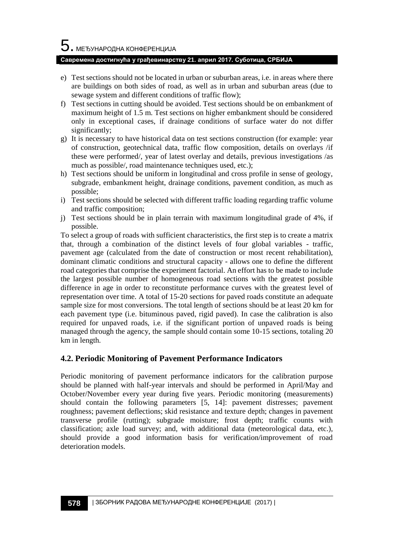# $\mathbf 5$ . међународна конференција

#### **Савремена достигнућа у грађевинарству 21. април 2017. Суботица, СРБИЈА**

- e) Test sections should not be located in urban or suburban areas, i.e. in areas where there are buildings on both sides of road, as well as in urban and suburban areas (due to sewage system and different conditions of traffic flow);
- f) Test sections in cutting should be avoided. Test sections should be on embankment of maximum height of 1.5 m. Test sections on higher embankment should be considered only in exceptional cases, if drainage conditions of surface water do not differ significantly;
- g) It is necessary to have historical data on test sections construction (for example: year of construction, geotechnical data, traffic flow composition, details on overlays /if these were performed/, year of latest overlay and details, previous investigations /as much as possible/, road maintenance techniques used, etc.);
- h) Test sections should be uniform in longitudinal and cross profile in sense of geology, subgrade, embankment height, drainage conditions, pavement condition, as much as possible;
- i) Test sections should be selected with different traffic loading regarding traffic volume and traffic composition;
- j) Test sections should be in plain terrain with maximum longitudinal grade of 4%, if possible.

To select a group of roads with sufficient characteristics, the first step is to create a matrix that, through a combination of the distinct levels of four global variables - traffic, pavement age (calculated from the date of construction or most recent rehabilitation), dominant climatic conditions and structural capacity - allows one to define the different road categories that comprise the experiment factorial. An effort has to be made to include the largest possible number of homogeneous road sections with the greatest possible difference in age in order to reconstitute performance curves with the greatest level of representation over time. A total of 15-20 sections for paved roads constitute an adequate sample size for most conversions. The total length of sections should be at least 20 km for each pavement type (i.e. bituminous paved, rigid paved). In case the calibration is also required for unpaved roads, i.e. if the significant portion of unpaved roads is being managed through the agency, the sample should contain some 10-15 sections, totaling 20 km in length.

### **4.2. Periodic Monitoring of Pavement Performance Indicators**

Periodic monitoring of pavement performance indicators for the calibration purpose should be planned with half-year intervals and should be performed in April/May and October/November every year during five years. Periodic monitoring (measurements) should contain the following parameters [5, 14]: pavement distresses; pavement roughness; pavement deflections; skid resistance and texture depth; changes in pavement transverse profile (rutting); subgrade moisture; frost depth; traffic counts with classification; axle load survey; and, with additional data (meteorological data, etc.), should provide a good information basis for verification/improvement of road deterioration models.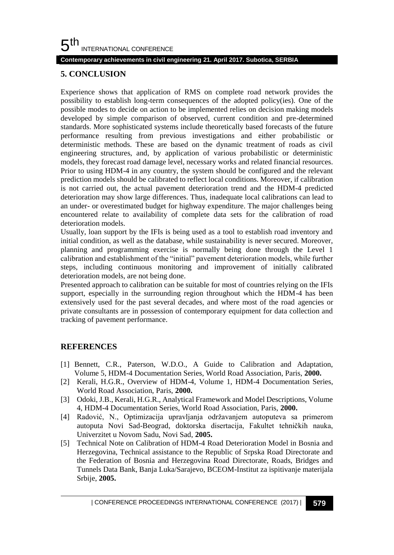#### 5 th INTERNATIONAL CONFERENCE

#### **Contemporary achievements in civil engineering 21. April 2017. Subotica, SERBIA**

### **5. CONCLUSION**

Experience shows that application of RMS on complete road network provides the possibility to establish long-term consequences of the adopted policy(ies). One of the possible modes to decide on action to be implemented relies on decision making models developed by simple comparison of observed, current condition and pre-determined standards. More sophisticated systems include theoretically based forecasts of the future performance resulting from previous investigations and either probabilistic or deterministic methods. These are based on the dynamic treatment of roads as civil engineering structures, and, by application of various probabilistic or deterministic models, they forecast road damage level, necessary works and related financial resources. Prior to using HDM-4 in any country, the system should be configured and the relevant prediction models should be calibrated to reflect local conditions. Moreover, if calibration is not carried out, the actual pavement deterioration trend and the HDM-4 predicted deterioration may show large differences. Thus, inadequate local calibrations can lead to an under- or overestimated budget for highway expenditure. The major challenges being encountered relate to availability of complete data sets for the calibration of road deterioration models.

Usually, loan support by the IFIs is being used as a tool to establish road inventory and initial condition, as well as the database, while sustainability is never secured. Moreover, planning and programming exercise is normally being done through the Level 1 calibration and establishment of the "initial" pavement deterioration models, while further steps, including continuous monitoring and improvement of initially calibrated deterioration models, are not being done.

Presented approach to calibration can be suitable for most of countries relying on the IFIs support, especially in the surrounding region throughout which the HDM-4 has been extensively used for the past several decades, and where most of the road agencies or private consultants are in possession of contemporary equipment for data collection and tracking of pavement performance.

### **REFERENCES**

- [1] Bennett, C.R., Paterson, W.D.O., A Guide to Calibration and Adaptation, Volume 5, HDM-4 Documentation Series, World Road Association, Paris, **2000.**
- [2] Kerali, H.G.R., Overview of HDM-4, Volume 1, HDM-4 Documentation Series, World Road Association, Paris, **2000.**
- [3] Odoki, J.B., Kerali, H.G.R., Analytical Framework and Model Descriptions, Volume 4, HDM-4 Documentation Series, World Road Association, Paris, **2000.**
- [4] Radović, N., Optimizacija upravljanja održavanjem autoputeva sa primerom autoputa Novi Sad-Beograd, doktorska disertacija, Fakultet tehničkih nauka, Univerzitet u Novom Sadu, Novi Sad, **2005.**
- [5] Technical Note on Calibration of HDM-4 Road Deterioration Model in Bosnia and Herzegovina, Technical assistance to the Republic of Srpska Road Directorate and the Federation of Bosnia and Herzegovina Road Directorate, Roads, Bridges and Tunnels Data Bank, Banja Luka/Sarajevo, BCEOM-Institut za ispitivanje materijala Srbije, **2005.**